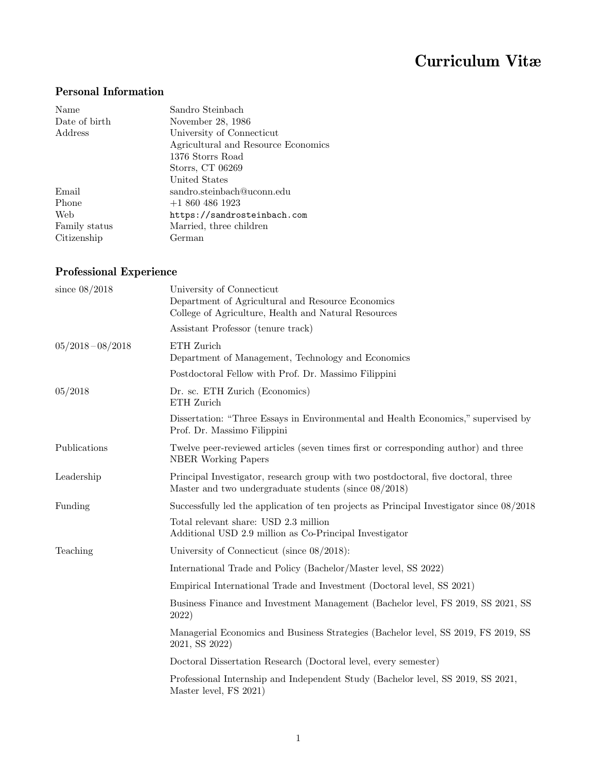# Curriculum Vitæ

#### Personal Information

| Name          | Sandro Steinbach                    |
|---------------|-------------------------------------|
| Date of birth | November 28, 1986                   |
| Address       | University of Connecticut           |
|               | Agricultural and Resource Economics |
|               | 1376 Storrs Road                    |
|               | Storrs, CT 06269                    |
|               | United States                       |
| Email         | sandro.steinbach@uconn.edu          |
| Phone         | $+18604861923$                      |
| Web           | https://sandrosteinbach.com         |
| Family status | Married, three children             |
| Citizenship   | German                              |

### Professional Experience

| since $08/2018$     | University of Connecticut<br>Department of Agricultural and Resource Economics<br>College of Agriculture, Health and Natural Resources         |
|---------------------|------------------------------------------------------------------------------------------------------------------------------------------------|
|                     | Assistant Professor (tenure track)                                                                                                             |
| $05/2018 - 08/2018$ | ETH Zurich<br>Department of Management, Technology and Economics                                                                               |
|                     | Postdoctoral Fellow with Prof. Dr. Massimo Filippini                                                                                           |
| 05/2018             | Dr. sc. ETH Zurich (Economics)<br>ETH Zurich                                                                                                   |
|                     | Dissertation: "Three Essays in Environmental and Health Economics," supervised by<br>Prof. Dr. Massimo Filippini                               |
| Publications        | Twelve peer-reviewed articles (seven times first or corresponding author) and three<br><b>NBER</b> Working Papers                              |
| Leadership          | Principal Investigator, research group with two postdoctoral, five doctoral, three<br>Master and two undergraduate students (since $08/2018$ ) |
| Funding             | Successfully led the application of ten projects as Principal Investigator since $08/2018$                                                     |
|                     | Total relevant share: USD 2.3 million<br>Additional USD 2.9 million as Co-Principal Investigator                                               |
| Teaching            | University of Connecticut (since $08/2018$ ):                                                                                                  |
|                     | International Trade and Policy (Bachelor/Master level, SS 2022)                                                                                |
|                     | Empirical International Trade and Investment (Doctoral level, SS 2021)                                                                         |
|                     | Business Finance and Investment Management (Bachelor level, FS 2019, SS 2021, SS<br>2022)                                                      |
|                     | Managerial Economics and Business Strategies (Bachelor level, SS 2019, FS 2019, SS<br>2021, SS 2022)                                           |
|                     | Doctoral Dissertation Research (Doctoral level, every semester)                                                                                |
|                     | Professional Internship and Independent Study (Bachelor level, SS 2019, SS 2021,<br>Master level, FS 2021)                                     |
|                     |                                                                                                                                                |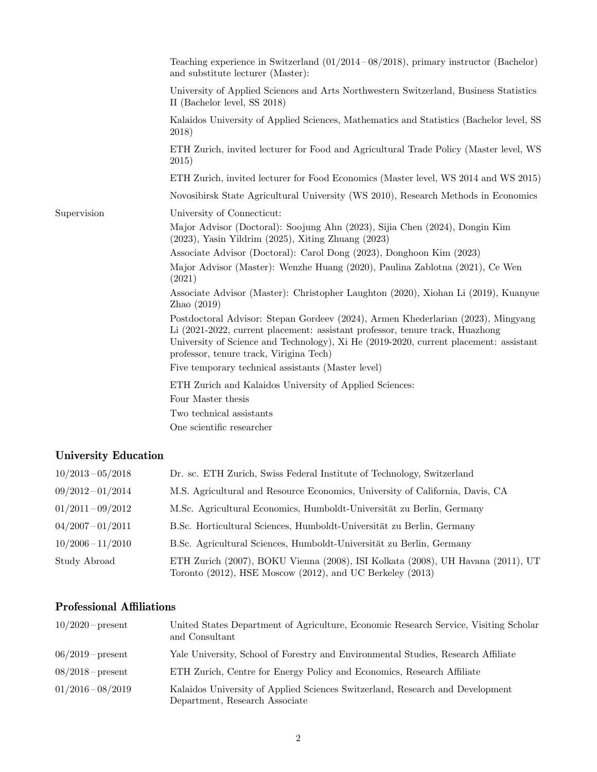|             | Teaching experience in Switzerland $(01/2014 - 08/2018)$ , primary instructor (Bachelor)<br>and substitute lecturer (Master):                                                                                                                                                                         |
|-------------|-------------------------------------------------------------------------------------------------------------------------------------------------------------------------------------------------------------------------------------------------------------------------------------------------------|
|             | University of Applied Sciences and Arts Northwestern Switzerland, Business Statistics<br>II (Bachelor level, SS 2018)                                                                                                                                                                                 |
|             | Kalaidos University of Applied Sciences, Mathematics and Statistics (Bachelor level, SS<br>2018)                                                                                                                                                                                                      |
|             | ETH Zurich, invited lecturer for Food and Agricultural Trade Policy (Master level, WS<br>2015)                                                                                                                                                                                                        |
|             | ETH Zurich, invited lecturer for Food Economics (Master level, WS 2014 and WS 2015)                                                                                                                                                                                                                   |
|             | Novosibirsk State Agricultural University (WS 2010), Research Methods in Economics                                                                                                                                                                                                                    |
| Supervision | University of Connecticut:                                                                                                                                                                                                                                                                            |
|             | Major Advisor (Doctoral): Soojung Ahn (2023), Sijia Chen (2024), Dongin Kim<br>$(2023)$ , Yasin Yildrim $(2025)$ , Xiting Zhuang $(2023)$                                                                                                                                                             |
|             | Associate Advisor (Doctoral): Carol Dong (2023), Donghoon Kim (2023)                                                                                                                                                                                                                                  |
|             | Major Advisor (Master): Wenzhe Huang (2020), Paulina Zablotna (2021), Ce Wen<br>(2021)                                                                                                                                                                                                                |
|             | Associate Advisor (Master): Christopher Laughton (2020), Xiohan Li (2019), Kuanyue<br>Zhao $(2019)$                                                                                                                                                                                                   |
|             | Postdoctoral Advisor: Stepan Gordeev (2024), Armen Khederlarian (2023), Mingyang<br>Li (2021-2022, current placement: assistant professor, tenure track, Huazhong<br>University of Science and Technology), Xi He (2019-2020, current placement: assistant<br>professor, tenure track, Virigina Tech) |
|             | Five temporary technical assistants (Master level)                                                                                                                                                                                                                                                    |
|             | ETH Zurich and Kalaidos University of Applied Sciences:                                                                                                                                                                                                                                               |
|             | Four Master thesis                                                                                                                                                                                                                                                                                    |
|             | Two technical assistants                                                                                                                                                                                                                                                                              |
|             | One scientific researcher                                                                                                                                                                                                                                                                             |

### University Education

| $10/2013 - 05/2018$ | Dr. sc. ETH Zurich, Swiss Federal Institute of Technology, Switzerland                                                                       |
|---------------------|----------------------------------------------------------------------------------------------------------------------------------------------|
| $09/2012 - 01/2014$ | M.S. Agricultural and Resource Economics, University of California, Davis, CA                                                                |
| $01/2011 - 09/2012$ | M.Sc. Agricultural Economics, Humboldt-Universität zu Berlin, Germany                                                                        |
| $04/2007 - 01/2011$ | B.Sc. Horticultural Sciences, Humboldt-Universität zu Berlin, Germany                                                                        |
| $10/2006 - 11/2010$ | B.Sc. Agricultural Sciences, Humboldt-Universität zu Berlin, Germany                                                                         |
| Study Abroad        | ETH Zurich (2007), BOKU Vienna (2008), ISI Kolkata (2008), UH Havana (2011), UT<br>Toronto (2012), HSE Moscow (2012), and UC Berkeley (2013) |

#### Professional Affiliations

| $10/2020$ – present | United States Department of Agriculture, Economic Research Service, Visiting Scholar<br>and Consultant          |
|---------------------|-----------------------------------------------------------------------------------------------------------------|
| $06/2019$ – present | Yale University, School of Forestry and Environmental Studies, Research Affiliate                               |
| $08/2018$ – present | ETH Zurich, Centre for Energy Policy and Economics, Research Affiliate                                          |
| $01/2016 - 08/2019$ | Kalaidos University of Applied Sciences Switzerland, Research and Development<br>Department, Research Associate |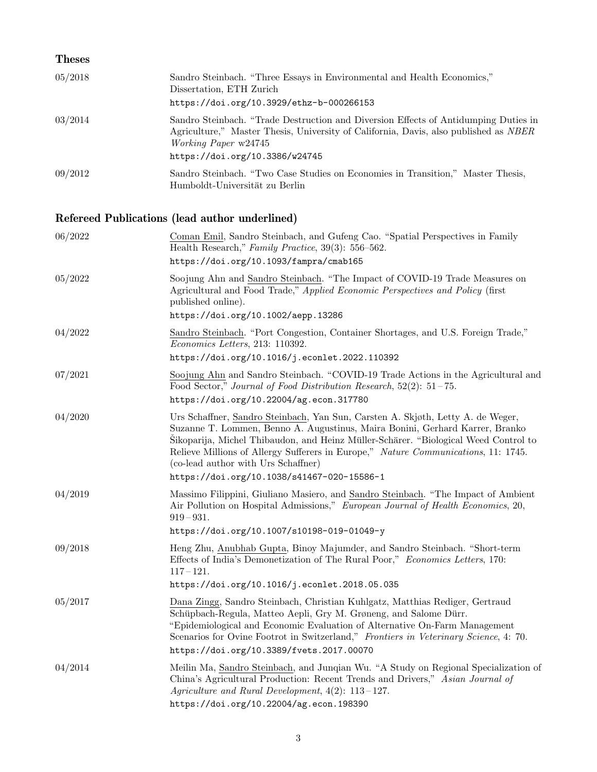| <b>Theses</b> |                                                                                                                                                                                                                                                     |
|---------------|-----------------------------------------------------------------------------------------------------------------------------------------------------------------------------------------------------------------------------------------------------|
| 05/2018       | Sandro Steinbach. "Three Essays in Environmental and Health Economics,"<br>Dissertation, ETH Zurich<br>https://doi.org/10.3929/ethz-b-000266153                                                                                                     |
| 03/2014       | Sandro Steinbach. "Trade Destruction and Diversion Effects of Antidumping Duties in<br>Agriculture," Master Thesis, University of California, Davis, also published as <i>NBER</i><br><i>Working Paper</i> w24745<br>https://doi.org/10.3386/w24745 |
| 09/2012       | Sandro Steinbach. "Two Case Studies on Economies in Transition," Master Thesis,<br>Humboldt-Universität zu Berlin                                                                                                                                   |

# Refereed Publications (lead author underlined)

| 06/2022 | Coman Emil, Sandro Steinbach, and Gufeng Cao. "Spatial Perspectives in Family<br>Health Research," Family Practice, 39(3): 556-562.<br>https://doi.org/10.1093/fampra/cmab165                                                                                                                                                                                                                                                     |
|---------|-----------------------------------------------------------------------------------------------------------------------------------------------------------------------------------------------------------------------------------------------------------------------------------------------------------------------------------------------------------------------------------------------------------------------------------|
| 05/2022 | Soojung Ahn and Sandro Steinbach. "The Impact of COVID-19 Trade Measures on<br>Agricultural and Food Trade," Applied Economic Perspectives and Policy (first<br>published online).<br>https://doi.org/10.1002/aepp.13286                                                                                                                                                                                                          |
| 04/2022 | Sandro Steinbach. "Port Congestion, Container Shortages, and U.S. Foreign Trade,"<br>Economics Letters, 213: 110392.<br>https://doi.org/10.1016/j.econlet.2022.110392                                                                                                                                                                                                                                                             |
| 07/2021 | Soojung Ahn and Sandro Steinbach. "COVID-19 Trade Actions in the Agricultural and<br>Food Sector," Journal of Food Distribution Research, $52(2): 51-75$ .<br>https://doi.org/10.22004/ag.econ.317780                                                                                                                                                                                                                             |
| 04/2020 | Urs Schaffner, Sandro Steinbach, Yan Sun, Carsten A. Skjøth, Letty A. de Weger,<br>Suzanne T. Lommen, Benno A. Augustinus, Maira Bonini, Gerhard Karrer, Branko<br>Sikoparija, Michel Thibaudon, and Heinz Müller-Schärer. "Biological Weed Control to<br>Relieve Millions of Allergy Sufferers in Europe," Nature Communications, 11: 1745.<br>(co-lead author with Urs Schaffner)<br>https://doi.org/10.1038/s41467-020-15586-1 |
| 04/2019 | Massimo Filippini, Giuliano Masiero, and Sandro Steinbach. "The Impact of Ambient<br>Air Pollution on Hospital Admissions," European Journal of Health Economics, 20,<br>$919 - 931.$<br>https://doi.org/10.1007/s10198-019-01049-y                                                                                                                                                                                               |
| 09/2018 | Heng Zhu, Anubhab Gupta, Binoy Majumder, and Sandro Steinbach. "Short-term<br>Effects of India's Demonetization of The Rural Poor," Economics Letters, 170:<br>$117 - 121.$<br>https://doi.org/10.1016/j.econlet.2018.05.035                                                                                                                                                                                                      |
| 05/2017 | Dana Zingg, Sandro Steinbach, Christian Kuhlgatz, Matthias Rediger, Gertraud<br>Schüpbach-Regula, Matteo Aepli, Gry M. Grøneng, and Salome Dürr.<br>"Epidemiological and Economic Evaluation of Alternative On-Farm Management<br>Scenarios for Ovine Footrot in Switzerland," Frontiers in Veterinary Science, 4: 70.<br>https://doi.org/10.3389/fvets.2017.00070                                                                |
| 04/2014 | Meilin Ma, Sandro Steinbach, and Junqian Wu. "A Study on Regional Specialization of<br>China's Agricultural Production: Recent Trends and Drivers," Asian Journal of<br>Agriculture and Rural Development, $4(2)$ : 113-127.<br>https://doi.org/10.22004/ag.econ.198390                                                                                                                                                           |
|         |                                                                                                                                                                                                                                                                                                                                                                                                                                   |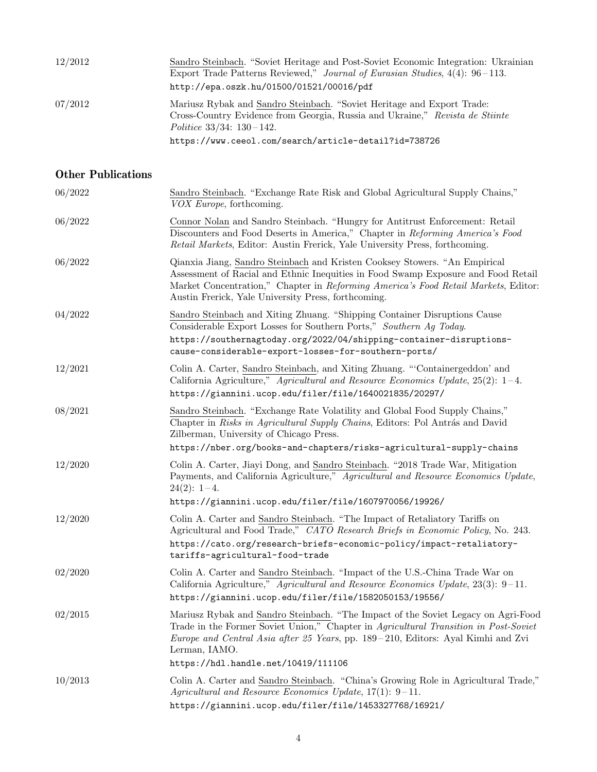| 12/2012 | Sandro Steinbach. "Soviet Heritage and Post-Soviet Economic Integration: Ukrainian<br>Export Trade Patterns Reviewed," Journal of Eurasian Studies, $4(4)$ : 96-113.<br>http://epa.oszk.hu/01500/01521/00016/pdf                                  |
|---------|---------------------------------------------------------------------------------------------------------------------------------------------------------------------------------------------------------------------------------------------------|
| 07/2012 | Mariusz Rybak and Sandro Steinbach. "Soviet Heritage and Export Trade:<br>Cross-Country Evidence from Georgia, Russia and Ukraine," Revista de Stiinte<br>Politice $33/34$ : $130-142$ .<br>https://www.ceeol.com/search/article-detail?id=738726 |

### Other Publications

| 06/2022 | Sandro Steinbach. "Exchange Rate Risk and Global Agricultural Supply Chains,"<br>VOX Europe, forthcoming.                                                                                                                                                                                                             |
|---------|-----------------------------------------------------------------------------------------------------------------------------------------------------------------------------------------------------------------------------------------------------------------------------------------------------------------------|
| 06/2022 | Connor Nolan and Sandro Steinbach. "Hungry for Antitrust Enforcement: Retail<br>Discounters and Food Deserts in America," Chapter in Reforming America's Food<br>Retail Markets, Editor: Austin Frerick, Yale University Press, forthcoming.                                                                          |
| 06/2022 | Qianxia Jiang, Sandro Steinbach and Kristen Cooksey Stowers. "An Empirical<br>Assessment of Racial and Ethnic Inequities in Food Swamp Exposure and Food Retail<br>Market Concentration," Chapter in Reforming America's Food Retail Markets, Editor:<br>Austin Frerick, Yale University Press, forthcoming.          |
| 04/2022 | Sandro Steinbach and Xiting Zhuang. "Shipping Container Disruptions Cause<br>Considerable Export Losses for Southern Ports," Southern Ag Today.<br>https://southernagtoday.org/2022/04/shipping-container-disruptions-<br>cause-considerable-export-losses-for-southern-ports/                                        |
| 12/2021 | Colin A. Carter, Sandro Steinbach, and Xiting Zhuang. "'Containergeddon' and<br>California Agriculture," Agricultural and Resource Economics Update, $25(2): 1-4$ .<br>https://giannini.ucop.edu/filer/file/1640021835/20297/                                                                                         |
| 08/2021 | Sandro Steinbach. "Exchange Rate Volatility and Global Food Supply Chains,"<br>Chapter in Risks in Agricultural Supply Chains, Editors: Pol Antrás and David<br>Zilberman, University of Chicago Press.<br>https://nber.org/books-and-chapters/risks-agricultural-supply-chains                                       |
| 12/2020 | Colin A. Carter, Jiayi Dong, and Sandro Steinbach. "2018 Trade War, Mitigation<br>Payments, and California Agriculture," Agricultural and Resource Economics Update,<br>$24(2): 1-4.$<br>https://giannini.ucop.edu/filer/file/1607970056/19926/                                                                       |
| 12/2020 | Colin A. Carter and Sandro Steinbach. "The Impact of Retaliatory Tariffs on<br>Agricultural and Food Trade," CATO Research Briefs in Economic Policy, No. 243.<br>https://cato.org/research-briefs-economic-policy/impact-retaliatory-<br>tariffs-agricultural-food-trade                                             |
| 02/2020 | Colin A. Carter and Sandro Steinbach. "Impact of the U.S.-China Trade War on<br>California Agriculture," Agricultural and Resource Economics Update, $23(3)$ : 9-11.<br>https://giannini.ucop.edu/filer/file/1582050153/19556/                                                                                        |
| 02/2015 | Mariusz Rybak and Sandro Steinbach. "The Impact of the Soviet Legacy on Agri-Food<br>Trade in the Former Soviet Union," Chapter in Agricultural Transition in Post-Soviet<br>Europe and Central Asia after 25 Years, pp. 189-210, Editors: Ayal Kimhi and Zvi<br>Lerman, IAMO.<br>https://hdl.handle.net/10419/111106 |
| 10/2013 | Colin A. Carter and Sandro Steinbach. "China's Growing Role in Agricultural Trade,"<br>Agricultural and Resource Economics Update, $17(1)$ : 9-11.<br>https://giannini.ucop.edu/filer/file/1453327768/16921/                                                                                                          |
|         |                                                                                                                                                                                                                                                                                                                       |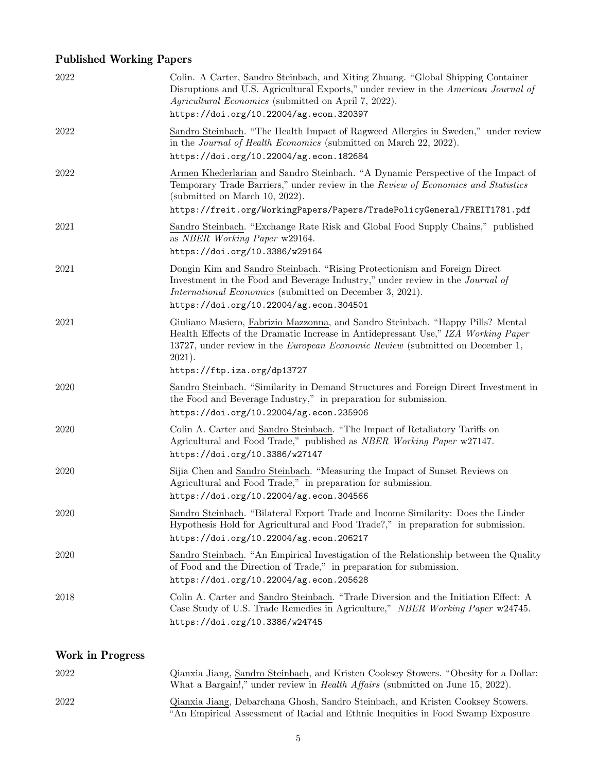# Published Working Papers

| 2022 | Colin. A Carter, Sandro Steinbach, and Xiting Zhuang. "Global Shipping Container<br>Disruptions and U.S. Agricultural Exports," under review in the American Journal of<br>Agricultural Economics (submitted on April 7, 2022).<br>https://doi.org/10.22004/ag.econ.320397                        |
|------|---------------------------------------------------------------------------------------------------------------------------------------------------------------------------------------------------------------------------------------------------------------------------------------------------|
| 2022 | Sandro Steinbach. "The Health Impact of Ragweed Allergies in Sweden," under review<br>in the <i>Journal of Health Economics</i> (submitted on March 22, 2022).<br>https://doi.org/10.22004/ag.econ.182684                                                                                         |
| 2022 | Armen Khederlarian and Sandro Steinbach. "A Dynamic Perspective of the Impact of<br>Temporary Trade Barriers," under review in the Review of Economics and Statistics<br>(submitted on March 10, 2022).<br>https://freit.org/WorkingPapers/Papers/TradePolicyGeneral/FREIT1781.pdf                |
| 2021 | Sandro Steinbach. "Exchange Rate Risk and Global Food Supply Chains," published<br>as NBER Working Paper w29164.<br>https://doi.org/10.3386/w29164                                                                                                                                                |
| 2021 | Dongin Kim and Sandro Steinbach. "Rising Protectionism and Foreign Direct<br>Investment in the Food and Beverage Industry," under review in the Journal of<br><i>International Economics</i> (submitted on December 3, 2021).<br>https://doi.org/10.22004/ag.econ.304501                          |
| 2021 | Giuliano Masiero, Fabrizio Mazzonna, and Sandro Steinbach. "Happy Pills? Mental<br>Health Effects of the Dramatic Increase in Antidepressant Use," IZA Working Paper<br>13727, under review in the European Economic Review (submitted on December 1,<br>$2021$ ).<br>https://ftp.iza.org/dp13727 |
| 2020 | Sandro Steinbach. "Similarity in Demand Structures and Foreign Direct Investment in<br>the Food and Beverage Industry," in preparation for submission.<br>https://doi.org/10.22004/ag.econ.235906                                                                                                 |
| 2020 | Colin A. Carter and Sandro Steinbach. "The Impact of Retaliatory Tariffs on<br>Agricultural and Food Trade," published as NBER Working Paper w27147.<br>https://doi.org/10.3386/w27147                                                                                                            |
| 2020 | Sijia Chen and Sandro Steinbach. "Measuring the Impact of Sunset Reviews on<br>Agricultural and Food Trade," in preparation for submission.<br>https://doi.org/10.22004/ag.econ.304566                                                                                                            |
| 2020 | Sandro Steinbach. "Bilateral Export Trade and Income Similarity: Does the Linder<br>Hypothesis Hold for Agricultural and Food Trade?," in preparation for submission.<br>https://doi.org/10.22004/ag.econ.206217                                                                                  |
| 2020 | Sandro Steinbach. "An Empirical Investigation of the Relationship between the Quality<br>of Food and the Direction of Trade," in preparation for submission.<br>https://doi.org/10.22004/ag.econ.205628                                                                                           |
| 2018 | Colin A. Carter and Sandro Steinbach. "Trade Diversion and the Initiation Effect: A<br>Case Study of U.S. Trade Remedies in Agriculture," NBER Working Paper w24745.<br>https://doi.org/10.3386/w24745                                                                                            |

# Work in Progress

| 2022 | Qianxia Jiang, Sandro Steinbach, and Kristen Cooksey Stowers. "Obesity for a Dollar:<br>What a Bargain!," under review in <i>Health Affairs</i> (submitted on June 15, 2022). |
|------|-------------------------------------------------------------------------------------------------------------------------------------------------------------------------------|
| 2022 | Qianxia Jiang, Debarchana Ghosh, Sandro Steinbach, and Kristen Cooksey Stowers.<br>"An Empirical Assessment of Racial and Ethnic Inequities in Food Swamp Exposure            |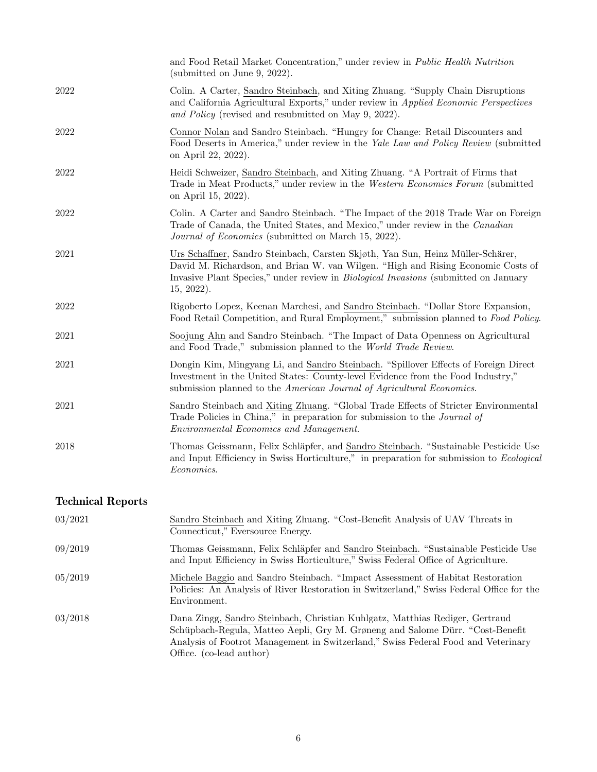|      | and Food Retail Market Concentration," under review in Public Health Nutrition<br>(submitted on June 9, 2022).                                                                                                                                                                     |
|------|------------------------------------------------------------------------------------------------------------------------------------------------------------------------------------------------------------------------------------------------------------------------------------|
| 2022 | Colin. A Carter, Sandro Steinbach, and Xiting Zhuang. "Supply Chain Disruptions<br>and California Agricultural Exports," under review in Applied Economic Perspectives<br>and Policy (revised and resubmitted on May 9, 2022).                                                     |
| 2022 | Connor Nolan and Sandro Steinbach. "Hungry for Change: Retail Discounters and<br>Food Deserts in America," under review in the Yale Law and Policy Review (submitted<br>on April 22, 2022).                                                                                        |
| 2022 | Heidi Schweizer, Sandro Steinbach, and Xiting Zhuang. "A Portrait of Firms that<br>Trade in Meat Products," under review in the Western Economics Forum (submitted<br>on April 15, 2022).                                                                                          |
| 2022 | Colin. A Carter and Sandro Steinbach. "The Impact of the 2018 Trade War on Foreign<br>Trade of Canada, the United States, and Mexico," under review in the Canadian<br>Journal of Economics (submitted on March 15, 2022).                                                         |
| 2021 | Urs Schaffner, Sandro Steinbach, Carsten Skjøth, Yan Sun, Heinz Müller-Schärer,<br>David M. Richardson, and Brian W. van Wilgen. "High and Rising Economic Costs of<br>Invasive Plant Species," under review in <i>Biological Invasions</i> (submitted on January<br>$15, 2022$ ). |
| 2022 | Rigoberto Lopez, Keenan Marchesi, and Sandro Steinbach. "Dollar Store Expansion,<br>Food Retail Competition, and Rural Employment," submission planned to Food Policy.                                                                                                             |
| 2021 | Soojung Ahn and Sandro Steinbach. "The Impact of Data Openness on Agricultural<br>and Food Trade," submission planned to the World Trade Review.                                                                                                                                   |
| 2021 | Dongin Kim, Mingyang Li, and Sandro Steinbach. "Spillover Effects of Foreign Direct<br>Investment in the United States: County-level Evidence from the Food Industry,"<br>submission planned to the American Journal of Agricultural Economics.                                    |
| 2021 | Sandro Steinbach and Xiting Zhuang. "Global Trade Effects of Stricter Environmental<br>Trade Policies in China," in preparation for submission to the <i>Journal of</i><br>Environmental Economics and Management.                                                                 |
| 2018 | Thomas Geissmann, Felix Schläpfer, and Sandro Steinbach. "Sustainable Pesticide Use<br>and Input Efficiency in Swiss Horticulture," in preparation for submission to Ecological<br>Economics.                                                                                      |
|      |                                                                                                                                                                                                                                                                                    |

# Technical Reports

| 03/2021 | Sandro Steinbach and Xiting Zhuang. "Cost-Benefit Analysis of UAV Threats in<br>Connecticut," Eversource Energy.                                                                                                                                                                |
|---------|---------------------------------------------------------------------------------------------------------------------------------------------------------------------------------------------------------------------------------------------------------------------------------|
| 09/2019 | Thomas Geissmann, Felix Schläpfer and Sandro Steinbach. "Sustainable Pesticide Use<br>and Input Efficiency in Swiss Horticulture," Swiss Federal Office of Agriculture.                                                                                                         |
| 05/2019 | Michele Baggio and Sandro Steinbach. "Impact Assessment of Habitat Restoration"<br>Policies: An Analysis of River Restoration in Switzerland," Swiss Federal Office for the<br>Environment.                                                                                     |
| 03/2018 | Dana Zingg, Sandro Steinbach, Christian Kuhlgatz, Matthias Rediger, Gertraud<br>Schüpbach-Regula, Matteo Aepli, Gry M. Grøneng and Salome Dürr. "Cost-Benefit"<br>Analysis of Footrot Management in Switzerland," Swiss Federal Food and Veterinary<br>Office. (co-lead author) |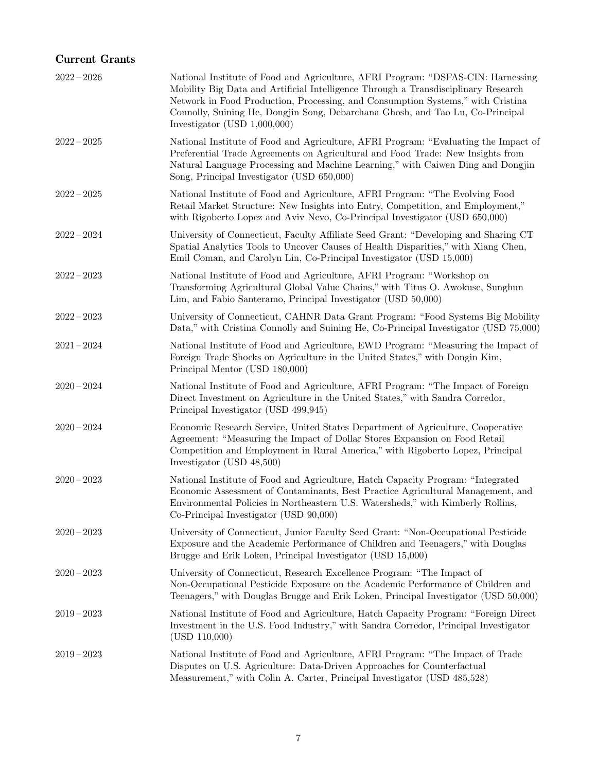#### Current Grants

| $2022 - 2026$ | National Institute of Food and Agriculture, AFRI Program: "DSFAS-CIN: Harnessing<br>Mobility Big Data and Artificial Intelligence Through a Transdisciplinary Research<br>Network in Food Production, Processing, and Consumption Systems," with Cristina<br>Connolly, Suining He, Dongjin Song, Debarchana Ghosh, and Tao Lu, Co-Principal<br>Investigator (USD $1,000,000$ ) |
|---------------|--------------------------------------------------------------------------------------------------------------------------------------------------------------------------------------------------------------------------------------------------------------------------------------------------------------------------------------------------------------------------------|
| $2022 - 2025$ | National Institute of Food and Agriculture, AFRI Program: "Evaluating the Impact of<br>Preferential Trade Agreements on Agricultural and Food Trade: New Insights from<br>Natural Language Processing and Machine Learning," with Caiwen Ding and Dongjin<br>Song, Principal Investigator (USD 650,000)                                                                        |
| $2022 - 2025$ | National Institute of Food and Agriculture, AFRI Program: "The Evolving Food<br>Retail Market Structure: New Insights into Entry, Competition, and Employment,"<br>with Rigoberto Lopez and Aviv Nevo, Co-Principal Investigator (USD 650,000)                                                                                                                                 |
| $2022 - 2024$ | University of Connecticut, Faculty Affiliate Seed Grant: "Developing and Sharing CT<br>Spatial Analytics Tools to Uncover Causes of Health Disparities," with Xiang Chen,<br>Emil Coman, and Carolyn Lin, Co-Principal Investigator (USD 15,000)                                                                                                                               |
| $2022 - 2023$ | National Institute of Food and Agriculture, AFRI Program: "Workshop on<br>Transforming Agricultural Global Value Chains," with Titus O. Awokuse, Sunghun<br>Lim, and Fabio Santeramo, Principal Investigator (USD 50,000)                                                                                                                                                      |
| $2022 - 2023$ | University of Connecticut, CAHNR Data Grant Program: "Food Systems Big Mobility<br>Data," with Cristina Connolly and Suining He, Co-Principal Investigator (USD 75,000)                                                                                                                                                                                                        |
| $2021 - 2024$ | National Institute of Food and Agriculture, EWD Program: "Measuring the Impact of<br>Foreign Trade Shocks on Agriculture in the United States," with Dongin Kim,<br>Principal Mentor (USD 180,000)                                                                                                                                                                             |
| $2020 - 2024$ | National Institute of Food and Agriculture, AFRI Program: "The Impact of Foreign<br>Direct Investment on Agriculture in the United States," with Sandra Corredor,<br>Principal Investigator (USD 499,945)                                                                                                                                                                      |
| $2020 - 2024$ | Economic Research Service, United States Department of Agriculture, Cooperative<br>Agreement: "Measuring the Impact of Dollar Stores Expansion on Food Retail<br>Competition and Employment in Rural America," with Rigoberto Lopez, Principal<br>Investigator (USD 48,500)                                                                                                    |
| $2020 - 2023$ | National Institute of Food and Agriculture, Hatch Capacity Program: "Integrated<br>Economic Assessment of Contaminants, Best Practice Agricultural Management, and<br>Environmental Policies in Northeastern U.S. Watersheds," with Kimberly Rollins,<br>Co-Principal Investigator (USD 90,000)                                                                                |
| $2020 - 2023$ | University of Connecticut, Junior Faculty Seed Grant: "Non-Occupational Pesticide<br>Exposure and the Academic Performance of Children and Teenagers," with Douglas<br>Brugge and Erik Loken, Principal Investigator (USD 15,000)                                                                                                                                              |
| $2020 - 2023$ | University of Connecticut, Research Excellence Program: "The Impact of<br>Non-Occupational Pesticide Exposure on the Academic Performance of Children and<br>Teenagers," with Douglas Brugge and Erik Loken, Principal Investigator (USD 50,000)                                                                                                                               |
| $2019 - 2023$ | National Institute of Food and Agriculture, Hatch Capacity Program: "Foreign Direct<br>Investment in the U.S. Food Industry," with Sandra Corredor, Principal Investigator<br>(USD 110,000)                                                                                                                                                                                    |
| $2019 - 2023$ | National Institute of Food and Agriculture, AFRI Program: "The Impact of Trade<br>Disputes on U.S. Agriculture: Data-Driven Approaches for Counterfactual<br>Measurement," with Colin A. Carter, Principal Investigator (USD 485,528)                                                                                                                                          |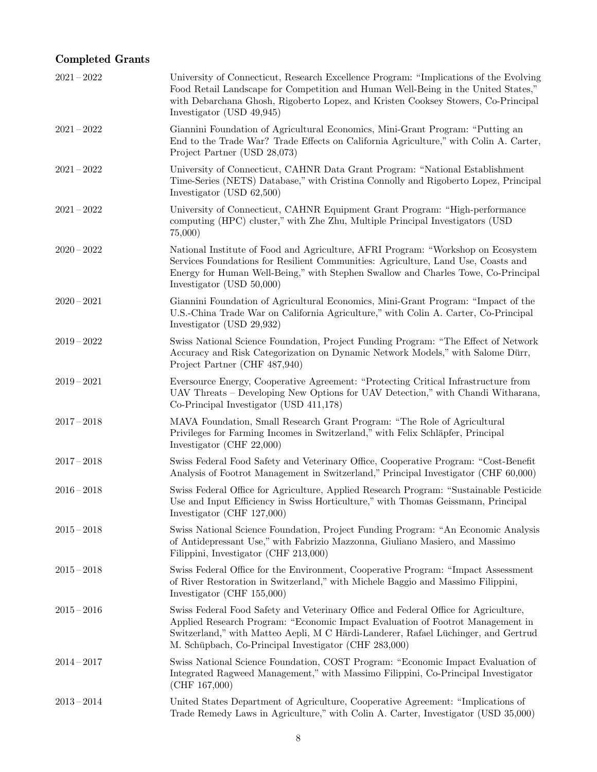# Completed Grants

| $2021 - 2022$ | University of Connecticut, Research Excellence Program: "Implications of the Evolving<br>Food Retail Landscape for Competition and Human Well-Being in the United States,"<br>with Debarchana Ghosh, Rigoberto Lopez, and Kristen Cooksey Stowers, Co-Principal<br>Investigator (USD 49,945)                         |
|---------------|----------------------------------------------------------------------------------------------------------------------------------------------------------------------------------------------------------------------------------------------------------------------------------------------------------------------|
| $2021 - 2022$ | Giannini Foundation of Agricultural Economics, Mini-Grant Program: "Putting an<br>End to the Trade War? Trade Effects on California Agriculture," with Colin A. Carter,<br>Project Partner (USD 28,073)                                                                                                              |
| $2021 - 2022$ | University of Connecticut, CAHNR Data Grant Program: "National Establishment<br>Time-Series (NETS) Database," with Cristina Connolly and Rigoberto Lopez, Principal<br>Investigator (USD $62,500$ )                                                                                                                  |
| $2021 - 2022$ | University of Connecticut, CAHNR Equipment Grant Program: "High-performance<br>computing (HPC) cluster," with Zhe Zhu, Multiple Principal Investigators (USD)<br>75,000                                                                                                                                              |
| $2020 - 2022$ | National Institute of Food and Agriculture, AFRI Program: "Workshop on Ecosystem<br>Services Foundations for Resilient Communities: Agriculture, Land Use, Coasts and<br>Energy for Human Well-Being," with Stephen Swallow and Charles Towe, Co-Principal<br>Investigator (USD 50,000)                              |
| $2020 - 2021$ | Giannini Foundation of Agricultural Economics, Mini-Grant Program: "Impact of the<br>U.S.-China Trade War on California Agriculture," with Colin A. Carter, Co-Principal<br>Investigator (USD 29,932)                                                                                                                |
| $2019 - 2022$ | Swiss National Science Foundation, Project Funding Program: "The Effect of Network<br>Accuracy and Risk Categorization on Dynamic Network Models," with Salome Dürr,<br>Project Partner (CHF 487,940)                                                                                                                |
| $2019 - 2021$ | Eversource Energy, Cooperative Agreement: "Protecting Critical Infrastructure from<br>UAV Threats - Developing New Options for UAV Detection," with Chandi Witharana,<br>Co-Principal Investigator (USD 411,178)                                                                                                     |
| $2017 - 2018$ | MAVA Foundation, Small Research Grant Program: "The Role of Agricultural<br>Privileges for Farming Incomes in Switzerland," with Felix Schläpfer, Principal<br>Investigator (CHF $22,000$ )                                                                                                                          |
| $2017 - 2018$ | Swiss Federal Food Safety and Veterinary Office, Cooperative Program: "Cost-Benefit"<br>Analysis of Footrot Management in Switzerland," Principal Investigator (CHF 60,000)                                                                                                                                          |
| $2016 - 2018$ | Swiss Federal Office for Agriculture, Applied Research Program: "Sustainable Pesticide<br>Use and Input Efficiency in Swiss Horticulture," with Thomas Geissmann, Principal<br>Investigator (CHF $127,000$ )                                                                                                         |
| $2015 - 2018$ | Swiss National Science Foundation, Project Funding Program: "An Economic Analysis<br>of Antidepressant Use," with Fabrizio Mazzonna, Giuliano Masiero, and Massimo<br>Filippini, Investigator (CHF 213,000)                                                                                                          |
| $2015 - 2018$ | Swiss Federal Office for the Environment, Cooperative Program: "Impact Assessment"<br>of River Restoration in Switzerland," with Michele Baggio and Massimo Filippini,<br>Investigator (CHF 155,000)                                                                                                                 |
| $2015 - 2016$ | Swiss Federal Food Safety and Veterinary Office and Federal Office for Agriculture,<br>Applied Research Program: "Economic Impact Evaluation of Footrot Management in<br>Switzerland," with Matteo Aepli, M C Härdi-Landerer, Rafael Lüchinger, and Gertrud<br>M. Schüpbach, Co-Principal Investigator (CHF 283,000) |
| $2014 - 2017$ | Swiss National Science Foundation, COST Program: "Economic Impact Evaluation of<br>Integrated Ragweed Management," with Massimo Filippini, Co-Principal Investigator<br>(CHF 167,000)                                                                                                                                |
| $2013 - 2014$ | United States Department of Agriculture, Cooperative Agreement: "Implications of<br>Trade Remedy Laws in Agriculture," with Colin A. Carter, Investigator (USD 35,000)                                                                                                                                               |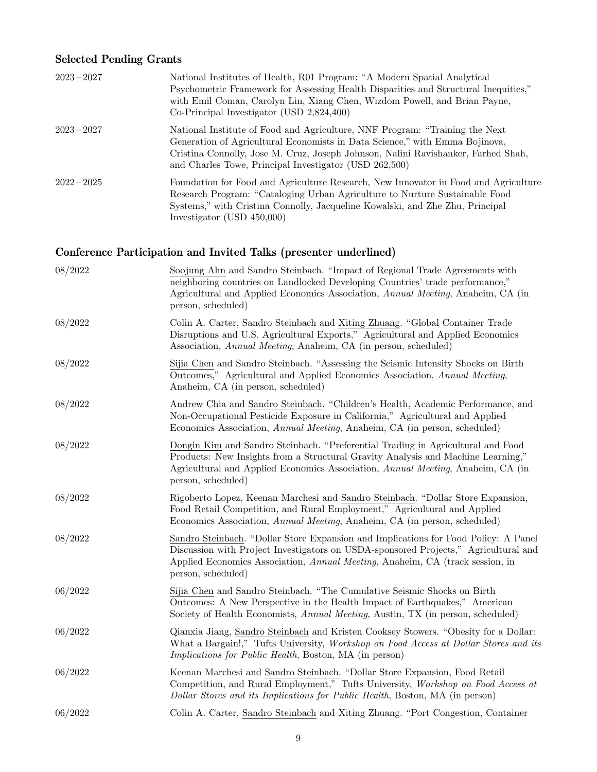### Selected Pending Grants

| $2023 - 2027$ | National Institutes of Health, R01 Program: "A Modern Spatial Analytical<br>Psychometric Framework for Assessing Health Disparities and Structural Inequities,"<br>with Emil Coman, Carolyn Lin, Xiang Chen, Wizdom Powell, and Brian Payne,<br>$Co-Principal Investigation (USD 2,824,400)$               |
|---------------|------------------------------------------------------------------------------------------------------------------------------------------------------------------------------------------------------------------------------------------------------------------------------------------------------------|
| $2023 - 2027$ | National Institute of Food and Agriculture, NNF Program: "Training the Next"<br>Generation of Agricultural Economists in Data Science," with Emma Bojinova,<br>Cristina Connolly, Jose M. Cruz, Joseph Johnson, Nalini Ravishanker, Farhed Shah,<br>and Charles Towe, Principal Investigator (USD 262,500) |
| $2022 - 2025$ | Foundation for Food and Agriculture Research, New Innovator in Food and Agriculture<br>Research Program: "Cataloging Urban Agriculture to Nurture Sustainable Food<br>Systems," with Cristina Connolly, Jacqueline Kowalski, and Zhe Zhu, Principal<br>Investigator (USD $450,000$ )                       |

# Conference Participation and Invited Talks (presenter underlined)

| 08/2022 | Soojung Ahn and Sandro Steinbach. "Impact of Regional Trade Agreements with<br>neighboring countries on Landlocked Developing Countries' trade performance,"<br>Agricultural and Applied Economics Association, <i>Annual Meeting</i> , Anaheim, CA (in<br>person, scheduled)     |
|---------|-----------------------------------------------------------------------------------------------------------------------------------------------------------------------------------------------------------------------------------------------------------------------------------|
| 08/2022 | Colin A. Carter, Sandro Steinbach and Xiting Zhuang. "Global Container Trade<br>Disruptions and U.S. Agricultural Exports," Agricultural and Applied Economics<br>Association, Annual Meeting, Anaheim, CA (in person, scheduled)                                                 |
| 08/2022 | Sijia Chen and Sandro Steinbach. "Assessing the Seismic Intensity Shocks on Birth<br>Outcomes," Agricultural and Applied Economics Association, Annual Meeting,<br>Anaheim, CA (in person, scheduled)                                                                             |
| 08/2022 | Andrew Chia and Sandro Steinbach. "Children's Health, Academic Performance, and<br>Non-Occupational Pesticide Exposure in California," Agricultural and Applied<br>Economics Association, <i>Annual Meeting</i> , Anaheim, CA (in person, scheduled)                              |
| 08/2022 | Dongin Kim and Sandro Steinbach. "Preferential Trading in Agricultural and Food<br>Products: New Insights from a Structural Gravity Analysis and Machine Learning,"<br>Agricultural and Applied Economics Association, Annual Meeting, Anaheim, CA (in<br>person, scheduled)      |
| 08/2022 | Rigoberto Lopez, Keenan Marchesi and Sandro Steinbach. "Dollar Store Expansion,<br>Food Retail Competition, and Rural Employment," Agricultural and Applied<br>Economics Association, <i>Annual Meeting</i> , Anaheim, CA (in person, scheduled)                                  |
| 08/2022 | Sandro Steinbach. "Dollar Store Expansion and Implications for Food Policy: A Panel<br>Discussion with Project Investigators on USDA-sponsored Projects," Agricultural and<br>Applied Economics Association, Annual Meeting, Anaheim, CA (track session, in<br>person, scheduled) |
| 06/2022 | Sijia Chen and Sandro Steinbach. "The Cumulative Seismic Shocks on Birth<br>Outcomes: A New Perspective in the Health Impact of Earthquakes," American<br>Society of Health Economists, Annual Meeting, Austin, TX (in person, scheduled)                                         |
| 06/2022 | Qianxia Jiang, Sandro Steinbach and Kristen Cooksey Stowers. "Obesity for a Dollar:<br>What a Bargain!," Tufts University, Workshop on Food Access at Dollar Stores and its<br><i>Implications for Public Health</i> , Boston, MA (in person)                                     |
| 06/2022 | Keenan Marchesi and Sandro Steinbach. "Dollar Store Expansion, Food Retail<br>Competition, and Rural Employment," Tufts University, Workshop on Food Access at<br>Dollar Stores and its Implications for Public Health, Boston, MA (in person)                                    |
| 06/2022 | Colin A. Carter, Sandro Steinbach and Xiting Zhuang. "Port Congestion, Container                                                                                                                                                                                                  |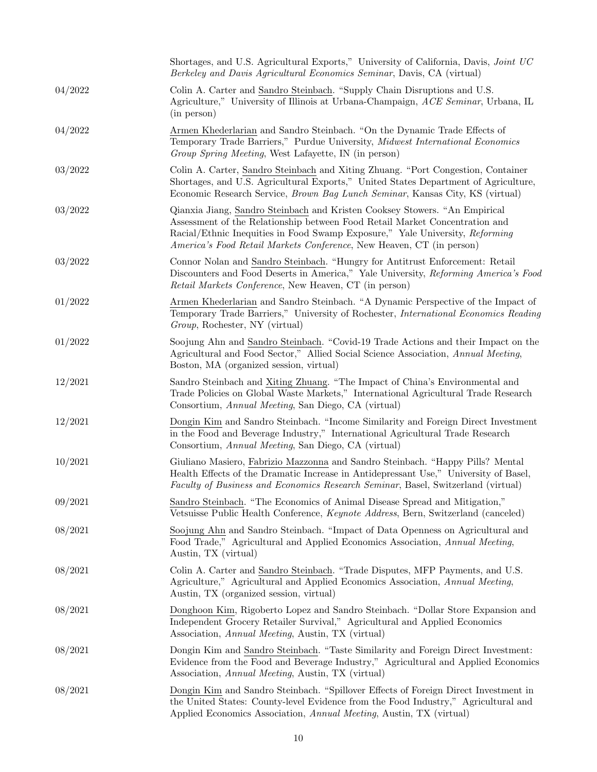|         | Shortages, and U.S. Agricultural Exports," University of California, Davis, Joint UC<br>Berkeley and Davis Agricultural Economics Seminar, Davis, CA (virtual)                                                                                                                                                            |
|---------|---------------------------------------------------------------------------------------------------------------------------------------------------------------------------------------------------------------------------------------------------------------------------------------------------------------------------|
| 04/2022 | Colin A. Carter and Sandro Steinbach. "Supply Chain Disruptions and U.S.<br>Agriculture," University of Illinois at Urbana-Champaign, ACE Seminar, Urbana, IL<br>(in person)                                                                                                                                              |
| 04/2022 | Armen Khederlarian and Sandro Steinbach. "On the Dynamic Trade Effects of<br>Temporary Trade Barriers," Purdue University, Midwest International Economics<br>Group Spring Meeting, West Lafayette, IN (in person)                                                                                                        |
| 03/2022 | Colin A. Carter, Sandro Steinbach and Xiting Zhuang. "Port Congestion, Container<br>Shortages, and U.S. Agricultural Exports," United States Department of Agriculture,<br>Economic Research Service, <i>Brown Bag Lunch Seminar</i> , Kansas City, KS (virtual)                                                          |
| 03/2022 | Qianxia Jiang, Sandro Steinbach and Kristen Cooksey Stowers. "An Empirical<br>Assessment of the Relationship between Food Retail Market Concentration and<br>Racial/Ethnic Inequities in Food Swamp Exposure," Yale University, Reforming<br><i>America's Food Retail Markets Conference</i> , New Heaven, CT (in person) |
| 03/2022 | Connor Nolan and Sandro Steinbach. "Hungry for Antitrust Enforcement: Retail<br>Discounters and Food Deserts in America," Yale University, Reforming America's Food<br>Retail Markets Conference, New Heaven, CT (in person)                                                                                              |
| 01/2022 | Armen Khederlarian and Sandro Steinbach. "A Dynamic Perspective of the Impact of<br>Temporary Trade Barriers," University of Rochester, <i>International Economics Reading</i><br>Group, Rochester, NY (virtual)                                                                                                          |
| 01/2022 | Soojung Ahn and Sandro Steinbach. "Covid-19 Trade Actions and their Impact on the<br>Agricultural and Food Sector," Allied Social Science Association, Annual Meeting,<br>Boston, MA (organized session, virtual)                                                                                                         |
| 12/2021 | Sandro Steinbach and Xiting Zhuang. "The Impact of China's Environmental and<br>Trade Policies on Global Waste Markets," International Agricultural Trade Research<br>Consortium, Annual Meeting, San Diego, CA (virtual)                                                                                                 |
| 12/2021 | Dongin Kim and Sandro Steinbach. "Income Similarity and Foreign Direct Investment<br>in the Food and Beverage Industry," International Agricultural Trade Research<br>Consortium, Annual Meeting, San Diego, CA (virtual)                                                                                                 |
| 10/2021 | Giuliano Masiero, Fabrizio Mazzonna and Sandro Steinbach. "Happy Pills? Mental<br>Health Effects of the Dramatic Increase in Antidepressant Use," University of Basel,<br>Faculty of Business and Economics Research Seminar, Basel, Switzerland (virtual)                                                                |
| 09/2021 | Sandro Steinbach. "The Economics of Animal Disease Spread and Mitigation,"<br>Vetsuisse Public Health Conference, Keynote Address, Bern, Switzerland (canceled)                                                                                                                                                           |
| 08/2021 | Soojung Ahn and Sandro Steinbach. "Impact of Data Openness on Agricultural and<br>Food Trade," Agricultural and Applied Economics Association, Annual Meeting,<br>Austin, TX (virtual)                                                                                                                                    |
| 08/2021 | Colin A. Carter and Sandro Steinbach. "Trade Disputes, MFP Payments, and U.S.<br>Agriculture," Agricultural and Applied Economics Association, Annual Meeting,<br>Austin, TX (organized session, virtual)                                                                                                                 |
| 08/2021 | Donghoon Kim, Rigoberto Lopez and Sandro Steinbach. "Dollar Store Expansion and<br>Independent Grocery Retailer Survival," Agricultural and Applied Economics<br>Association, Annual Meeting, Austin, TX (virtual)                                                                                                        |
| 08/2021 | Dongin Kim and Sandro Steinbach. "Taste Similarity and Foreign Direct Investment:<br>Evidence from the Food and Beverage Industry," Agricultural and Applied Economics<br>Association, Annual Meeting, Austin, TX (virtual)                                                                                               |
| 08/2021 | Dongin Kim and Sandro Steinbach. "Spillover Effects of Foreign Direct Investment in<br>the United States: County-level Evidence from the Food Industry," Agricultural and<br>Applied Economics Association, Annual Meeting, Austin, TX (virtual)                                                                          |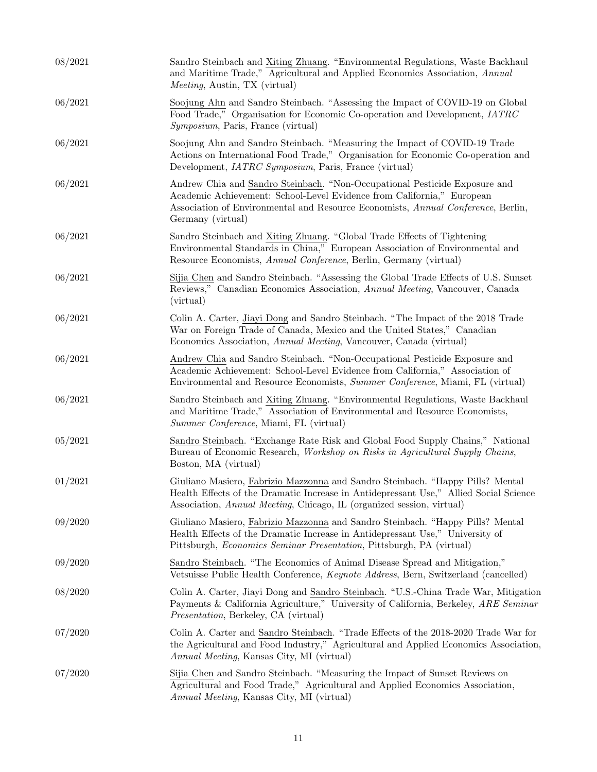| 08/2021 | Sandro Steinbach and Xiting Zhuang. "Environmental Regulations, Waste Backhaul<br>and Maritime Trade," Agricultural and Applied Economics Association, Annual<br><i>Meeting</i> , Austin, TX (virtual)                                                        |
|---------|---------------------------------------------------------------------------------------------------------------------------------------------------------------------------------------------------------------------------------------------------------------|
| 06/2021 | Soojung Ahn and Sandro Steinbach. "Assessing the Impact of COVID-19 on Global<br>Food Trade," Organisation for Economic Co-operation and Development, <i>IATRC</i><br><i>Symposium</i> , Paris, France (virtual)                                              |
| 06/2021 | Soojung Ahn and Sandro Steinbach. "Measuring the Impact of COVID-19 Trade<br>Actions on International Food Trade," Organisation for Economic Co-operation and<br>Development, <i>IATRC Symposium</i> , Paris, France (virtual)                                |
| 06/2021 | Andrew Chia and Sandro Steinbach. "Non-Occupational Pesticide Exposure and<br>Academic Achievement: School-Level Evidence from California," European<br>Association of Environmental and Resource Economists, Annual Conference, Berlin,<br>Germany (virtual) |
| 06/2021 | Sandro Steinbach and Xiting Zhuang. "Global Trade Effects of Tightening<br>Environmental Standards in China," European Association of Environmental and<br>Resource Economists, Annual Conference, Berlin, Germany (virtual)                                  |
| 06/2021 | Sijia Chen and Sandro Steinbach. "Assessing the Global Trade Effects of U.S. Sunset<br>Reviews," Canadian Economics Association, Annual Meeting, Vancouver, Canada<br>(virtual)                                                                               |
| 06/2021 | Colin A. Carter, Jiayi Dong and Sandro Steinbach. "The Impact of the 2018 Trade<br>War on Foreign Trade of Canada, Mexico and the United States," Canadian<br>Economics Association, Annual Meeting, Vancouver, Canada (virtual)                              |
| 06/2021 | Andrew Chia and Sandro Steinbach. "Non-Occupational Pesticide Exposure and<br>Academic Achievement: School-Level Evidence from California," Association of<br>Environmental and Resource Economists, Summer Conference, Miami, FL (virtual)                   |
| 06/2021 | Sandro Steinbach and Xiting Zhuang. "Environmental Regulations, Waste Backhaul<br>and Maritime Trade," Association of Environmental and Resource Economists,<br>Summer Conference, Miami, FL (virtual)                                                        |
| 05/2021 | Sandro Steinbach. "Exchange Rate Risk and Global Food Supply Chains," National<br>Bureau of Economic Research, <i>Workshop on Risks in Agricultural Supply Chains</i> ,<br>Boston, MA (virtual)                                                               |
| 01/2021 | Giuliano Masiero, Fabrizio Mazzonna and Sandro Steinbach. "Happy Pills? Mental<br>Health Effects of the Dramatic Increase in Antidepressant Use," Allied Social Science<br>Association, Annual Meeting, Chicago, IL (organized session, virtual)              |
| 09/2020 | Giuliano Masiero, Fabrizio Mazzonna and Sandro Steinbach. "Happy Pills? Mental<br>Health Effects of the Dramatic Increase in Antidepressant Use," University of<br>Pittsburgh, Economics Seminar Presentation, Pittsburgh, PA (virtual)                       |
| 09/2020 | Sandro Steinbach. "The Economics of Animal Disease Spread and Mitigation,"<br>Vetsuisse Public Health Conference, Keynote Address, Bern, Switzerland (cancelled)                                                                                              |
| 08/2020 | Colin A. Carter, Jiayi Dong and Sandro Steinbach. "U.S.-China Trade War, Mitigation<br>Payments & California Agriculture," University of California, Berkeley, ARE Seminar<br><i>Presentation</i> , Berkeley, CA (virtual)                                    |
| 07/2020 | Colin A. Carter and Sandro Steinbach. "Trade Effects of the 2018-2020 Trade War for<br>the Agricultural and Food Industry," Agricultural and Applied Economics Association,<br><i>Annual Meeting</i> , Kansas City, MI (virtual)                              |
| 07/2020 | Sijia Chen and Sandro Steinbach. "Measuring the Impact of Sunset Reviews on<br>Agricultural and Food Trade," Agricultural and Applied Economics Association,<br><i>Annual Meeting</i> , Kansas City, MI (virtual)                                             |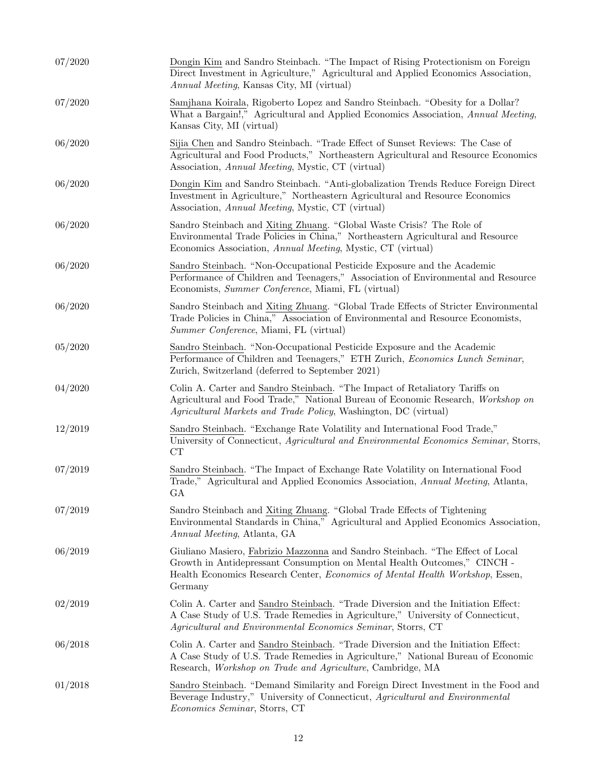| 07/2020 | Dongin Kim and Sandro Steinbach. "The Impact of Rising Protectionism on Foreign<br>Direct Investment in Agriculture," Agricultural and Applied Economics Association,<br><i>Annual Meeting</i> , Kansas City, MI (virtual)                             |
|---------|--------------------------------------------------------------------------------------------------------------------------------------------------------------------------------------------------------------------------------------------------------|
| 07/2020 | Samjhana Koirala, Rigoberto Lopez and Sandro Steinbach. "Obesity for a Dollar?<br>What a Bargain!," Agricultural and Applied Economics Association, Annual Meeting,<br>Kansas City, MI (virtual)                                                       |
| 06/2020 | Sijia Chen and Sandro Steinbach. "Trade Effect of Sunset Reviews: The Case of<br>Agricultural and Food Products," Northeastern Agricultural and Resource Economics<br>Association, Annual Meeting, Mystic, CT (virtual)                                |
| 06/2020 | Dongin Kim and Sandro Steinbach. "Anti-globalization Trends Reduce Foreign Direct<br>Investment in Agriculture," Northeastern Agricultural and Resource Economics<br>Association, Annual Meeting, Mystic, CT (virtual)                                 |
| 06/2020 | Sandro Steinbach and Xiting Zhuang. "Global Waste Crisis? The Role of<br>Environmental Trade Policies in China," Northeastern Agricultural and Resource<br>Economics Association, Annual Meeting, Mystic, CT (virtual)                                 |
| 06/2020 | Sandro Steinbach. "Non-Occupational Pesticide Exposure and the Academic<br>Performance of Children and Teenagers," Association of Environmental and Resource<br>Economists, Summer Conference, Miami, FL (virtual)                                     |
| 06/2020 | Sandro Steinbach and Xiting Zhuang. "Global Trade Effects of Stricter Environmental<br>Trade Policies in China," Association of Environmental and Resource Economists,<br>Summer Conference, Miami, FL (virtual)                                       |
| 05/2020 | Sandro Steinbach. "Non-Occupational Pesticide Exposure and the Academic<br>Performance of Children and Teenagers," ETH Zurich, Economics Lunch Seminar,<br>Zurich, Switzerland (deferred to September 2021)                                            |
| 04/2020 | Colin A. Carter and Sandro Steinbach. "The Impact of Retaliatory Tariffs on<br>Agricultural and Food Trade," National Bureau of Economic Research, Workshop on<br><i>Agricultural Markets and Trade Policy</i> , Washington, DC (virtual)              |
| 12/2019 | Sandro Steinbach. "Exchange Rate Volatility and International Food Trade,"<br>University of Connecticut, Agricultural and Environmental Economics Seminar, Storrs,<br>CT                                                                               |
| 07/2019 | Sandro Steinbach. "The Impact of Exchange Rate Volatility on International Food<br>Trade," Agricultural and Applied Economics Association, Annual Meeting, Atlanta,<br>GA                                                                              |
| 07/2019 | Sandro Steinbach and Xiting Zhuang. "Global Trade Effects of Tightening<br>Environmental Standards in China," Agricultural and Applied Economics Association,<br>Annual Meeting, Atlanta, GA                                                           |
| 06/2019 | Giuliano Masiero, Fabrizio Mazzonna and Sandro Steinbach. "The Effect of Local<br>Growth in Antidepressant Consumption on Mental Health Outcomes," CINCH -<br>Health Economics Research Center, Economics of Mental Health Workshop, Essen,<br>Germany |
| 02/2019 | Colin A. Carter and Sandro Steinbach. "Trade Diversion and the Initiation Effect:<br>A Case Study of U.S. Trade Remedies in Agriculture," University of Connecticut,<br>Agricultural and Environmental Economics Seminar, Storrs, CT                   |
| 06/2018 | Colin A. Carter and Sandro Steinbach. "Trade Diversion and the Initiation Effect:<br>A Case Study of U.S. Trade Remedies in Agriculture," National Bureau of Economic<br>Research, <i>Workshop on Trade and Agriculture</i> , Cambridge, MA            |
| 01/2018 | Sandro Steinbach. "Demand Similarity and Foreign Direct Investment in the Food and<br>Beverage Industry," University of Connecticut, Agricultural and Environmental<br><i>Economics Seminar</i> , Storrs, CT                                           |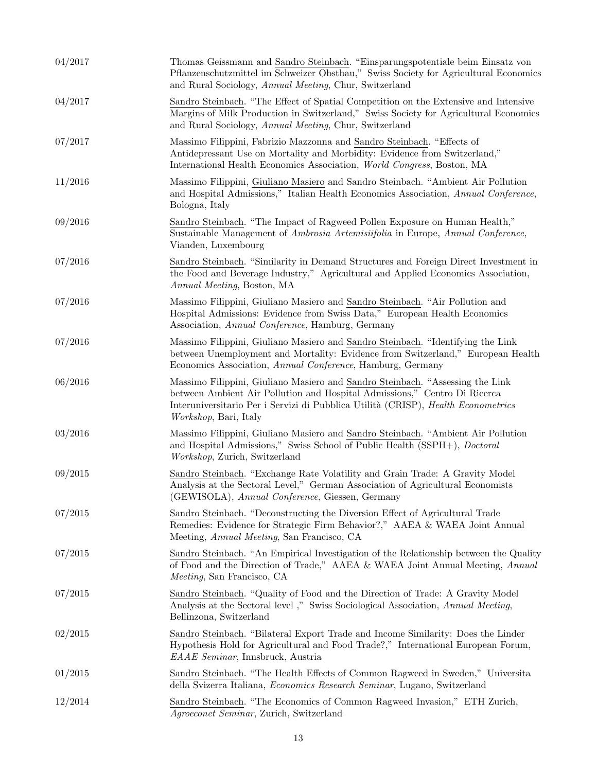| 04/2017 | Thomas Geissmann and Sandro Steinbach. "Einsparungspotentiale beim Einsatz von<br>Pflanzenschutzmittel im Schweizer Obstbau," Swiss Society for Agricultural Economics<br>and Rural Sociology, Annual Meeting, Chur, Switzerland                                                 |
|---------|----------------------------------------------------------------------------------------------------------------------------------------------------------------------------------------------------------------------------------------------------------------------------------|
| 04/2017 | Sandro Steinbach. "The Effect of Spatial Competition on the Extensive and Intensive<br>Margins of Milk Production in Switzerland," Swiss Society for Agricultural Economics<br>and Rural Sociology, Annual Meeting, Chur, Switzerland                                            |
| 07/2017 | Massimo Filippini, Fabrizio Mazzonna and Sandro Steinbach. "Effects of<br>Antidepressant Use on Mortality and Morbidity: Evidence from Switzerland,"<br>International Health Economics Association, World Congress, Boston, MA                                                   |
| 11/2016 | Massimo Filippini, Giuliano Masiero and Sandro Steinbach. "Ambient Air Pollution<br>and Hospital Admissions," Italian Health Economics Association, Annual Conference,<br>Bologna, Italy                                                                                         |
| 09/2016 | Sandro Steinbach. "The Impact of Ragweed Pollen Exposure on Human Health,"<br>Sustainable Management of Ambrosia Artemisiifolia in Europe, Annual Conference,<br>Vianden, Luxembourg                                                                                             |
| 07/2016 | Sandro Steinbach. "Similarity in Demand Structures and Foreign Direct Investment in<br>the Food and Beverage Industry," Agricultural and Applied Economics Association,<br>Annual Meeting, Boston, MA                                                                            |
| 07/2016 | Massimo Filippini, Giuliano Masiero and Sandro Steinbach. "Air Pollution and<br>Hospital Admissions: Evidence from Swiss Data," European Health Economics<br>Association, <i>Annual Conference</i> , Hamburg, Germany                                                            |
| 07/2016 | Massimo Filippini, Giuliano Masiero and Sandro Steinbach. "Identifying the Link<br>between Unemployment and Mortality: Evidence from Switzerland," European Health<br>Economics Association, Annual Conference, Hamburg, Germany                                                 |
| 06/2016 | Massimo Filippini, Giuliano Masiero and Sandro Steinbach. "Assessing the Link<br>between Ambient Air Pollution and Hospital Admissions," Centro Di Ricerca<br>Interuniversitario Per i Servizi di Pubblica Utilità (CRISP), Health Econometrics<br><i>Workshop</i> , Bari, Italy |
| 03/2016 | Massimo Filippini, Giuliano Masiero and Sandro Steinbach. "Ambient Air Pollution<br>and Hospital Admissions," Swiss School of Public Health (SSPH+), <i>Doctoral</i><br>Workshop, Zurich, Switzerland                                                                            |
| 09/2015 | Sandro Steinbach. "Exchange Rate Volatility and Grain Trade: A Gravity Model<br>Analysis at the Sectoral Level," German Association of Agricultural Economists<br>(GEWISOLA), Annual Conference, Giessen, Germany                                                                |
| 07/2015 | Sandro Steinbach. "Deconstructing the Diversion Effect of Agricultural Trade<br>Remedies: Evidence for Strategic Firm Behavior?," AAEA & WAEA Joint Annual<br>Meeting, Annual Meeting, San Francisco, CA                                                                         |
| 07/2015 | Sandro Steinbach. "An Empirical Investigation of the Relationship between the Quality<br>of Food and the Direction of Trade," AAEA & WAEA Joint Annual Meeting, Annual<br><i>Meeting</i> , San Francisco, CA                                                                     |
| 07/2015 | Sandro Steinbach. "Quality of Food and the Direction of Trade: A Gravity Model<br>Analysis at the Sectoral level," Swiss Sociological Association, Annual Meeting,<br>Bellinzona, Switzerland                                                                                    |
| 02/2015 | Sandro Steinbach. "Bilateral Export Trade and Income Similarity: Does the Linder<br>Hypothesis Hold for Agricultural and Food Trade?," International European Forum,<br>EAAE Seminar, Innsbruck, Austria                                                                         |
| 01/2015 | Sandro Steinbach. "The Health Effects of Common Ragweed in Sweden," Universita<br>della Svizerra Italiana, <i>Economics Research Seminar</i> , Lugano, Switzerland                                                                                                               |
| 12/2014 | Sandro Steinbach. "The Economics of Common Ragweed Invasion," ETH Zurich,<br>Agroeconet Seminar, Zurich, Switzerland                                                                                                                                                             |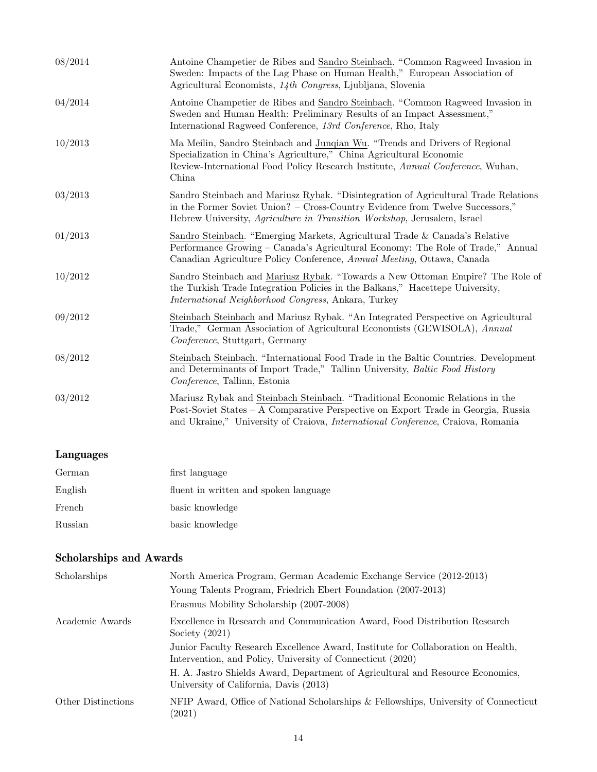| 08/2014 | Antoine Champetier de Ribes and Sandro Steinbach. "Common Ragweed Invasion in<br>Sweden: Impacts of the Lag Phase on Human Health," European Association of<br>Agricultural Economists, 14th Congress, Ljubljana, Slovenia                                    |
|---------|---------------------------------------------------------------------------------------------------------------------------------------------------------------------------------------------------------------------------------------------------------------|
| 04/2014 | Antoine Champetier de Ribes and Sandro Steinbach. "Common Ragweed Invasion in<br>Sweden and Human Health: Preliminary Results of an Impact Assessment,"<br>International Ragweed Conference, 13rd Conference, Rho, Italy                                      |
| 10/2013 | Ma Meilin, Sandro Steinbach and Junqian Wu. "Trends and Drivers of Regional<br>Specialization in China's Agriculture," China Agricultural Economic<br>Review-International Food Policy Research Institute, Annual Conference, Wuhan,<br>China                 |
| 03/2013 | Sandro Steinbach and Mariusz Rybak. "Disintegration of Agricultural Trade Relations"<br>in the Former Soviet Union? – Cross-Country Evidence from Twelve Successors,"<br>Hebrew University, <i>Agriculture in Transition Workshop</i> , Jerusalem, Israel     |
| 01/2013 | Sandro Steinbach. "Emerging Markets, Agricultural Trade & Canada's Relative<br>Performance Growing – Canada's Agricultural Economy: The Role of Trade," Annual<br>Canadian Agriculture Policy Conference, Annual Meeting, Ottawa, Canada                      |
| 10/2012 | Sandro Steinbach and Mariusz Rybak. "Towards a New Ottoman Empire? The Role of<br>the Turkish Trade Integration Policies in the Balkans," Hacettepe University,<br><i>International Neighborhood Congress, Ankara, Turkey</i>                                 |
| 09/2012 | Steinbach Steinbach and Mariusz Rybak. "An Integrated Perspective on Agricultural<br>Trade," German Association of Agricultural Economists (GEWISOLA), Annual<br>Conference, Stuttgart, Germany                                                               |
| 08/2012 | Steinbach Steinbach. "International Food Trade in the Baltic Countries. Development<br>and Determinants of Import Trade," Tallinn University, Baltic Food History<br>Conference, Tallinn, Estonia                                                             |
| 03/2012 | Mariusz Rybak and Steinbach Steinbach. "Traditional Economic Relations in the<br>Post-Soviet States – A Comparative Perspective on Export Trade in Georgia, Russia<br>and Ukraine," University of Craiova, <i>International Conference</i> , Craiova, Romania |

### Languages

| German  | first language                        |
|---------|---------------------------------------|
| English | fluent in written and spoken language |
| French  | basic knowledge                       |
| Russian | basic knowledge                       |

### Scholarships and Awards

| Scholarships       | North America Program, German Academic Exchange Service (2012-2013)                                                                            |
|--------------------|------------------------------------------------------------------------------------------------------------------------------------------------|
|                    | Young Talents Program, Friedrich Ebert Foundation (2007-2013)                                                                                  |
|                    | Erasmus Mobility Scholarship (2007-2008)                                                                                                       |
| Academic Awards    | Excellence in Research and Communication Award, Food Distribution Research<br>Society $(2021)$                                                 |
|                    | Junior Faculty Research Excellence Award, Institute for Collaboration on Health,<br>Intervention, and Policy, University of Connecticut (2020) |
|                    | H. A. Jastro Shields Award, Department of Agricultural and Resource Economics,<br>University of California, Davis (2013)                       |
| Other Distinctions | NFIP Award, Office of National Scholarships & Fellowships, University of Connecticut<br>(2021)                                                 |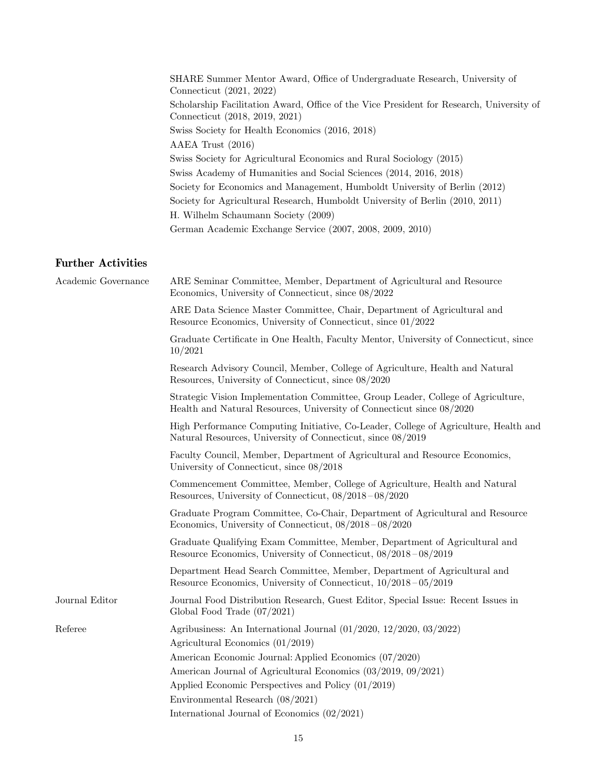SHARE Summer Mentor Award, Office of Undergraduate Research, University of Connecticut (2021, 2022) Scholarship Facilitation Award, Office of the Vice President for Research, University of Connecticut (2018, 2019, 2021) Swiss Society for Health Economics (2016, 2018) AAEA Trust (2016) Swiss Society for Agricultural Economics and Rural Sociology (2015) Swiss Academy of Humanities and Social Sciences (2014, 2016, 2018) Society for Economics and Management, Humboldt University of Berlin (2012) Society for Agricultural Research, Humboldt University of Berlin (2010, 2011) H. Wilhelm Schaumann Society (2009) German Academic Exchange Service (2007, 2008, 2009, 2010)

#### Further Activities

| Academic Governance | ARE Seminar Committee, Member, Department of Agricultural and Resource<br>Economics, University of Connecticut, since 08/2022                             |
|---------------------|-----------------------------------------------------------------------------------------------------------------------------------------------------------|
|                     | ARE Data Science Master Committee, Chair, Department of Agricultural and<br>Resource Economics, University of Connecticut, since 01/2022                  |
|                     | Graduate Certificate in One Health, Faculty Mentor, University of Connecticut, since<br>10/2021                                                           |
|                     | Research Advisory Council, Member, College of Agriculture, Health and Natural<br>Resources, University of Connecticut, since 08/2020                      |
|                     | Strategic Vision Implementation Committee, Group Leader, College of Agriculture,<br>Health and Natural Resources, University of Connecticut since 08/2020 |
|                     | High Performance Computing Initiative, Co-Leader, College of Agriculture, Health and<br>Natural Resources, University of Connecticut, since 08/2019       |
|                     | Faculty Council, Member, Department of Agricultural and Resource Economics,<br>University of Connecticut, since 08/2018                                   |
|                     | Commencement Committee, Member, College of Agriculture, Health and Natural<br>Resources, University of Connecticut, $08/2018-08/2020$                     |
|                     | Graduate Program Committee, Co-Chair, Department of Agricultural and Resource<br>Economics, University of Connecticut, $08/2018-08/2020$                  |
|                     | Graduate Qualifying Exam Committee, Member, Department of Agricultural and<br>Resource Economics, University of Connecticut, 08/2018-08/2019              |
|                     | Department Head Search Committee, Member, Department of Agricultural and<br>Resource Economics, University of Connecticut, $10/2018 - 05/2019$            |
| Journal Editor      | Journal Food Distribution Research, Guest Editor, Special Issue: Recent Issues in<br>Global Food Trade $(07/2021)$                                        |
| Referee             | Agribusiness: An International Journal $(01/2020, 12/2020, 03/2022)$<br>Agricultural Economics $(01/2019)$                                                |
|                     | American Economic Journal: Applied Economics (07/2020)                                                                                                    |
|                     | American Journal of Agricultural Economics (03/2019, 09/2021)                                                                                             |
|                     | Applied Economic Perspectives and Policy (01/2019)                                                                                                        |
|                     | Environmental Research (08/2021)                                                                                                                          |
|                     | International Journal of Economics $(02/2021)$                                                                                                            |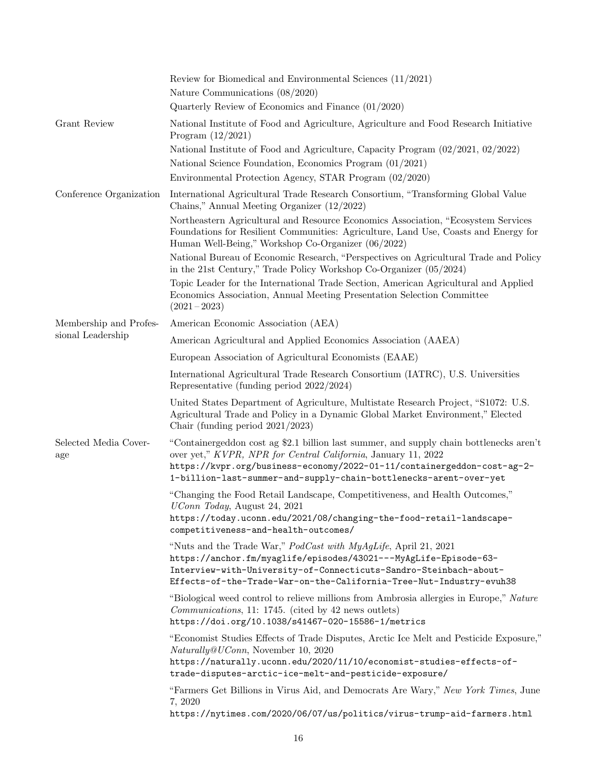|                                             | Review for Biomedical and Environmental Sciences $(11/2021)$<br>Nature Communications $(08/2020)$<br>Quarterly Review of Economics and Finance $(01/2020)$                                                                                                                                               |
|---------------------------------------------|----------------------------------------------------------------------------------------------------------------------------------------------------------------------------------------------------------------------------------------------------------------------------------------------------------|
| Grant Review                                | National Institute of Food and Agriculture, Agriculture and Food Research Initiative<br>Program $(12/2021)$                                                                                                                                                                                              |
|                                             | National Institute of Food and Agriculture, Capacity Program (02/2021, 02/2022)<br>National Science Foundation, Economics Program (01/2021)                                                                                                                                                              |
|                                             | Environmental Protection Agency, STAR Program (02/2020)                                                                                                                                                                                                                                                  |
| Conference Organization                     | International Agricultural Trade Research Consortium, "Transforming Global Value<br>Chains," Annual Meeting Organizer (12/2022)                                                                                                                                                                          |
|                                             | Northeastern Agricultural and Resource Economics Association, "Ecosystem Services"<br>Foundations for Resilient Communities: Agriculture, Land Use, Coasts and Energy for<br>Human Well-Being," Workshop Co-Organizer (06/2022)                                                                          |
|                                             | National Bureau of Economic Research, "Perspectives on Agricultural Trade and Policy<br>in the 21st Century," Trade Policy Workshop Co-Organizer $(05/2024)$                                                                                                                                             |
|                                             | Topic Leader for the International Trade Section, American Agricultural and Applied<br>Economics Association, Annual Meeting Presentation Selection Committee<br>$(2021 - 2023)$                                                                                                                         |
| Membership and Profes-<br>sional Leadership | American Economic Association (AEA)                                                                                                                                                                                                                                                                      |
|                                             | American Agricultural and Applied Economics Association (AAEA)                                                                                                                                                                                                                                           |
|                                             | European Association of Agricultural Economists (EAAE)                                                                                                                                                                                                                                                   |
|                                             | International Agricultural Trade Research Consortium (IATRC), U.S. Universities<br>Representative (funding period 2022/2024)                                                                                                                                                                             |
|                                             | United States Department of Agriculture, Multistate Research Project, "S1072: U.S.<br>Agricultural Trade and Policy in a Dynamic Global Market Environment," Elected<br>Chair (funding period $2021/2023$ )                                                                                              |
| Selected Media Cover-<br>age                | "Containergeddon cost ag \$2.1 billion last summer, and supply chain bottlenecks aren't<br>over yet," KVPR, NPR for Central California, January 11, 2022<br>https://kvpr.org/business-economy/2022-01-11/containergeddon-cost-ag-2-<br>1-billion-last-summer-and-supply-chain-bottlenecks-arent-over-yet |
|                                             | "Changing the Food Retail Landscape, Competitiveness, and Health Outcomes,"<br><i>UConn Today</i> , August 24, 2021                                                                                                                                                                                      |
|                                             | https://today.uconn.edu/2021/08/changing-the-food-retail-landscape-<br>competitiveness-and-health-outcomes/                                                                                                                                                                                              |
|                                             | "Nuts and the Trade War," PodCast with MyAgLife, April 21, 2021<br>https://anchor.fm/myaglife/episodes/43021---MyAgLife-Episode-63-<br>Interview-with-University-of-Connecticuts-Sandro-Steinbach-about-<br>Effects-of-the-Trade-War-on-the-California-Tree-Nut-Industry-evuh38                          |
|                                             | "Biological weed control to relieve millions from Ambrosia allergies in Europe," Nature<br><i>Communications</i> , 11: 1745. (cited by 42 news outlets)<br>https://doi.org/10.1038/s41467-020-15586-1/metrics                                                                                            |
|                                             | "Economist Studies Effects of Trade Disputes, Arctic Ice Melt and Pesticide Exposure,"<br>Naturally@UConn, November 10, 2020<br>https://naturally.uconn.edu/2020/11/10/economist-studies-effects-of-<br>trade-disputes-arctic-ice-melt-and-pesticide-exposure/                                           |
|                                             | "Farmers Get Billions in Virus Aid, and Democrats Are Wary," New York Times, June<br>7, 2020<br>https://nytimes.com/2020/06/07/us/politics/virus-trump-aid-farmers.html                                                                                                                                  |
|                                             |                                                                                                                                                                                                                                                                                                          |